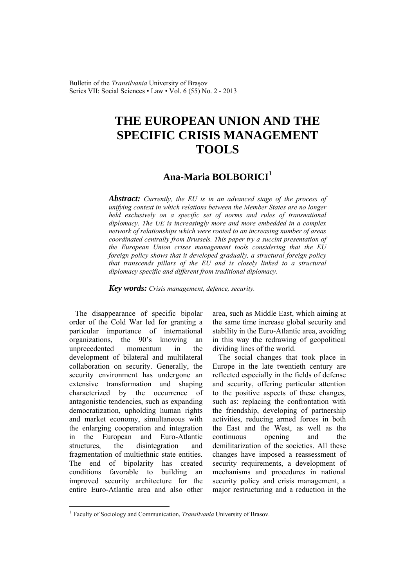Bulletin of the *Transilvania* University of Braşov Series VII: Social Sciences • Law • Vol. 6 (55) No. 2 - 2013

## **THE EUROPEAN UNION AND THE SPECIFIC CRISIS MANAGEMENT TOOLS**

## **Ana-Maria BOLBORICI<sup>1</sup>**

*Abstract: Currently, the EU is in an advanced stage of the process of unifying context in which relations between the Member States are no longer held exclusively on a specific set of norms and rules of transnational diplomacy. The UE is increasingly more and more embedded in a complex network of relationships which were rooted to an increasing number of areas coordinated centrally from Brussels. This paper try a succint presentation of the European Union crises management tools considering that the EU foreign policy shows that it developed gradually, a structural foreign policy that transcends pillars of the EU and is closely linked to a structural diplomacy specific and different from traditional diplomacy.* 

*Key words: Crisis management, defence, security.*

The disappearance of specific bipolar order of the Cold War led for granting a particular importance of international organizations, the 90's knowing an unprecedented momentum in the development of bilateral and multilateral collaboration on security. Generally, the security environment has undergone an extensive transformation and shaping characterized by the occurrence of antagonistic tendencies, such as expanding democratization, upholding human rights and market economy, simultaneous with the enlarging cooperation and integration in the European and Euro-Atlantic structures, the disintegration and fragmentation of multiethnic state entities. The end of bipolarity has created conditions favorable to building an improved security architecture for the entire Euro-Atlantic area and also other

 $\overline{a}$ 

area, such as Middle East, which aiming at the same time increase global security and stability in the Euro-Atlantic area, avoiding in this way the redrawing of geopolitical dividing lines of the world.

The social changes that took place in Europe in the late twentieth century are reflected especially in the fields of defense and security, offering particular attention to the positive aspects of these changes, such as: replacing the confrontation with the friendship, developing of partnership activities, reducing armed forces in both the East and the West, as well as the continuous opening and the demilitarization of the societies. All these changes have imposed a reassessment of security requirements, a development of mechanisms and procedures in national security policy and crisis management, a major restructuring and a reduction in the

<sup>1</sup> Faculty of Sociology and Communication, *Transilvania* University of Brasov.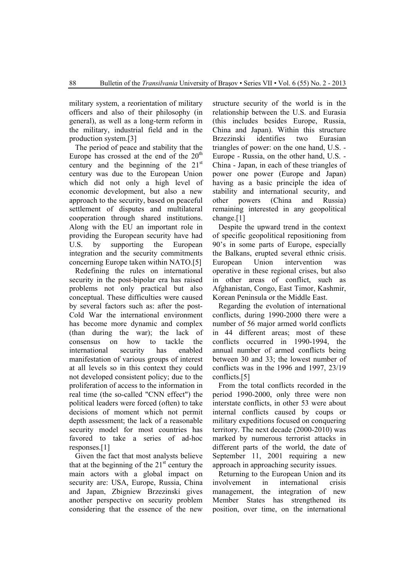military system, a reorientation of military officers and also of their philosophy (in general), as well as a long-term reform in the military, industrial field and in the production system.[3]

The period of peace and stability that the Europe has crossed at the end of the  $20<sup>th</sup>$ century and the beginning of the  $21<sup>st</sup>$ century was due to the European Union which did not only a high level of economic development, but also a new approach to the security, based on peaceful settlement of disputes and multilateral cooperation through shared institutions. Along with the EU an important role in providing the European security have had U.S. by supporting the European integration and the security commitments concerning Europe taken within NATO.[5]

Redefining the rules on international security in the post-bipolar era has raised problems not only practical but also conceptual. These difficulties were caused by several factors such as: after the post-Cold War the international environment has become more dynamic and complex (than during the war); the lack of consensus on how to tackle the international security has enabled manifestation of various groups of interest at all levels so in this context they could not developed consistent policy; due to the proliferation of access to the information in real time (the so-called "CNN effect") the political leaders were forced (often) to take decisions of moment which not permit depth assessment; the lack of a reasonable security model for most countries has favored to take a series of ad-hoc responses.[1]

Given the fact that most analysts believe that at the beginning of the  $21<sup>st</sup>$  century the main actors with a global impact on security are: USA, Europe, Russia, China and Japan, Zbigniew Brzezinski gives another perspective on security problem considering that the essence of the new structure security of the world is in the relationship between the U.S. and Eurasia (this includes besides Europe, Russia, China and Japan). Within this structure Brzezinski identifies two Eurasian triangles of power: on the one hand, U.S. - Europe - Russia, on the other hand, U.S. - China - Japan, in each of these triangles of power one power (Europe and Japan) having as a basic principle the idea of stability and international security, and other powers (China and Russia) remaining interested in any geopolitical change.[1]

Despite the upward trend in the context of specific geopolitical repositioning from 90's in some parts of Europe, especially the Balkans, erupted several ethnic crisis. European Union intervention was operative in these regional crises, but also in other areas of conflict, such as Afghanistan, Congo, East Timor, Kashmir, Korean Peninsula or the Middle East.

Regarding the evolution of international conflicts, during 1990-2000 there were a number of 56 major armed world conflicts in 44 different areas; most of these conflicts occurred in 1990-1994, the annual number of armed conflicts being between 30 and 33; the lowest number of conflicts was in the 1996 and 1997, 23/19 conflicts.[5]

From the total conflicts recorded in the period 1990-2000, only three were non interstate conflicts, in other 53 were about internal conflicts caused by coups or military expeditions focused on conquering territory. The next decade (2000-2010) was marked by numerous terrorist attacks in different parts of the world, the date of September 11, 2001 requiring a new approach in approaching security issues.

Returning to the European Union and its involvement in international crisis management, the integration of new Member States has strengthened its position, over time, on the international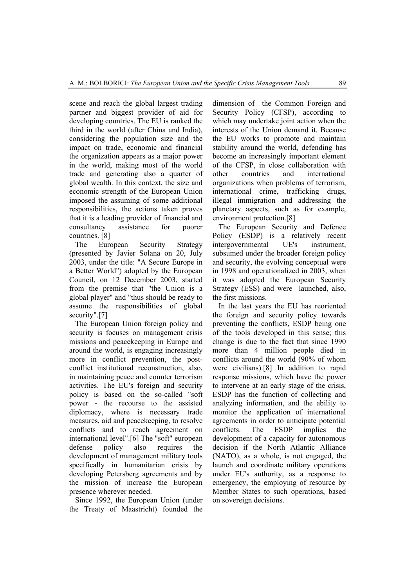scene and reach the global largest trading partner and biggest provider of aid for developing countries. The EU is ranked the third in the world (after China and India), considering the population size and the impact on trade, economic and financial the organization appears as a major power in the world, making most of the world trade and generating also a quarter of global wealth. In this context, the size and economic strength of the European Union imposed the assuming of some additional responsibilities, the actions taken proves that it is a leading provider of financial and consultancy assistance for poorer countries. [8]

The European Security Strategy (presented by Javier Solana on 20, July 2003, under the title: "A Secure Europe in a Better World") adopted by the European Council, on 12 December 2003, started from the premise that "the Union is a global player" and "thus should be ready to assume the responsibilities of global security".[7]

The European Union foreign policy and security is focuses on management crisis missions and peacekeeping in Europe and around the world, is engaging increasingly more in conflict prevention, the postconflict institutional reconstruction, also, in maintaining peace and counter terrorism activities. The EU's foreign and security policy is based on the so-called "soft power - the recourse to the assisted diplomacy, where is necessary trade measures, aid and peacekeeping, to resolve conflicts and to reach agreement on international level".[6] The "soft" european defense policy also requires the development of management military tools specifically in humanitarian crisis by developing Petersberg agreements and by the mission of increase the European presence wherever needed.

 Since 1992, the European Union (under the Treaty of Maastricht) founded the

dimension of the Common Foreign and Security Policy (CFSP), according to which may undertake joint action when the interests of the Union demand it. Because the EU works to promote and maintain stability around the world, defending has become an increasingly important element of the CFSP, in close collaboration with other countries and international organizations when problems of terrorism, international crime, trafficking drugs, illegal immigration and addressing the planetary aspects, such as for example, environment protection.[8]

The European Security and Defence Policy (ESDP) is a relatively recent intergovernmental UE's instrument, subsumed under the broader foreign policy and security, the evolving conceptual were in 1998 and operationalized in 2003, when it was adopted the European Security Strategy (ESS) and were launched, also, the first missions.

In the last years the EU has reoriented the foreign and security policy towards preventing the conflicts, ESDP being one of the tools developed in this sense; this change is due to the fact that since 1990 more than 4 million people died in conflicts around the world (90% of whom were civilians).[8] In addition to rapid response missions, which have the power to intervene at an early stage of the crisis, ESDP has the function of collecting and analyzing information, and the ability to monitor the application of international agreements in order to anticipate potential conflicts. The ESDP implies the development of a capacity for autonomous decision if the North Atlantic Alliance (NATO), as a whole, is not engaged, the launch and coordinate military operations under EU's authority, as a response to emergency, the employing of resource by Member States to such operations, based on sovereign decisions.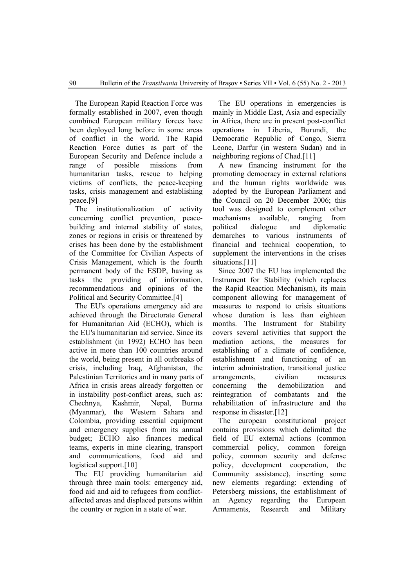The European Rapid Reaction Force was formally established in 2007, even though combined European military forces have been deployed long before in some areas of conflict in the world. The Rapid Reaction Force duties as part of the European Security and Defence include a range of possible missions from humanitarian tasks, rescue to helping victims of conflicts, the peace-keeping tasks, crisis management and establishing peace.[9]

The institutionalization of activity concerning conflict prevention, peacebuilding and internal stability of states, zones or regions in crisis or threatened by crises has been done by the establishment of the Committee for Civilian Aspects of Crisis Management, which is the fourth permanent body of the ESDP, having as tasks the providing of information, recommendations and opinions of the Political and Security Committee.[4]

The EU's operations emergency aid are achieved through the Directorate General for Humanitarian Aid (ECHO), which is the EU's humanitarian aid service. Since its establishment (in 1992) ECHO has been active in more than 100 countries around the world, being present in all outbreaks of crisis, including Iraq, Afghanistan, the Palestinian Territories and in many parts of Africa in crisis areas already forgotten or in instability post-conflict areas, such as: Chechnya, Kashmir, Nepal, Burma (Myanmar), the Western Sahara and Colombia, providing essential equipment and emergency supplies from its annual budget; ECHO also finances medical teams, experts in mine clearing, transport and communications, food aid and logistical support.[10]

The EU providing humanitarian aid through three main tools: emergency aid, food aid and aid to refugees from conflictaffected areas and displaced persons within the country or region in a state of war.

The EU operations in emergencies is mainly in Middle East, Asia and especially in Africa, there are in present post-conflict operations in Liberia, Burundi, the Democratic Republic of Congo, Sierra Leone, Darfur (in western Sudan) and in neighboring regions of Chad.[11]

A new financing instrument for the promoting democracy in external relations and the human rights worldwide was adopted by the European Parliament and the Council on 20 December 2006; this tool was designed to complement other mechanisms available, ranging from political dialogue and diplomatic demarches to various instruments of financial and technical cooperation, to supplement the interventions in the crises situations.<sup>[11]</sup>

Since 2007 the EU has implemented the Instrument for Stability (which replaces the Rapid Reaction Mechanism), its main component allowing for management of measures to respond to crisis situations whose duration is less than eighteen months. The Instrument for Stability covers several activities that support the mediation actions, the measures for establishing of a climate of confidence, establishment and functioning of an interim administration, transitional justice arrangements, civilian measures concerning the demobilization and reintegration of combatants and the rehabilitation of infrastructure and the response in disaster.[12]

The european constitutional project contains provisions which delimited the field of EU external actions (common commercial policy, common foreign policy, common security and defense policy, development cooperation, the Community assistance), inserting some new elements regarding: extending of Petersberg missions, the establishment of an Agency regarding the European Armaments, Research and Military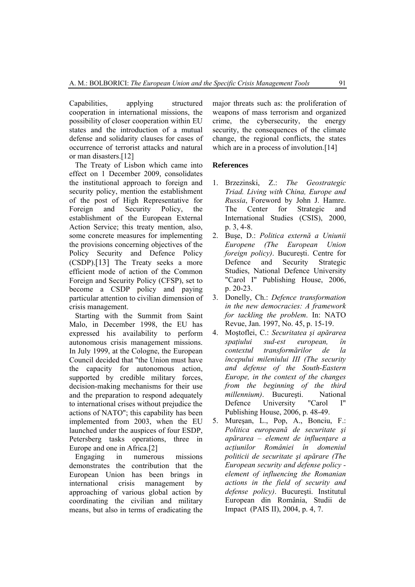Capabilities, applying structured cooperation in international missions, the possibility of closer cooperation within EU states and the introduction of a mutual defense and solidarity clauses for cases of occurrence of terrorist attacks and natural or man disasters.[12]

The Treaty of Lisbon which came into effect on 1 December 2009, consolidates the institutional approach to foreign and security policy, mention the establishment of the post of High Representative for Foreign and Security Policy, the establishment of the European External Action Service; this treaty mention, also, some concrete measures for implementing the provisions concerning objectives of the Policy Security and Defence Policy (CSDP).[13] The Treaty seeks a more efficient mode of action of the Common Foreign and Security Policy (CFSP), set to become a CSDP policy and paying particular attention to civilian dimension of crisis management.

Starting with the Summit from Saint Malo, in December 1998, the EU has expressed his availability to perform autonomous crisis management missions. In July 1999, at the Cologne, the European Council decided that "the Union must have the capacity for autonomous action, supported by credible military forces, decision-making mechanisms for their use and the preparation to respond adequately to international crises without prejudice the actions of NATO"; this capability has been implemented from 2003, when the EU launched under the auspices of four ESDP, Petersberg tasks operations, three in Europe and one in Africa.[2]

Engaging in numerous missions demonstrates the contribution that the European Union has been brings in international crisis management by approaching of various global action by coordinating the civilian and military means, but also in terms of eradicating the major threats such as: the proliferation of weapons of mass terrorism and organized crime, the cybersecurity, the energy security, the consequences of the climate change, the regional conflicts, the states which are in a process of involution.<sup>[14]</sup>

## **References**

- 1. Brzezinski, Z.: *The Geostrategic Triad. Living with China, Europe and Russia*, Foreword by John J. Hamre. The Center for Strategic and International Studies (CSIS), 2000, p. 3, 4-8.
- 2. Buşe, D.: *Politica externă a Uniunii Europene (The European Union foreign policy)*. Bucureşti. Centre for Defence and Security Strategic Studies, National Defence University "Carol I" Publishing House, 2006, p. 20-23.
- 3. Donelly, Ch.: *Defence transformation in the new democracies: A framework for tackling the problem*. In: NATO Revue, Jan. 1997, No. 45, p. 15-19.
- 4. Moştoflei, C.: *Securitatea şi apărarea spaţiului sud-est european, în contextul transformărilor de la începului mileniului III (The security and defense of the South-Eastern Europe, in the context of the changes from the beginning of the third millennium*). București. National Defence University "Carol I" Publishing House, 2006, p. 48-49.
- 5. Mureşan, L., Pop, A., Bonciu, F.: *Politica europeană de securitate şi apărarea – element de influenţare a acţiunilor României în domeniul politicii de securitate şi apărare (The European security and defense policy element of influencing the Romanian actions in the field of security and defense policy)*. Bucureşti. Institutul European din România, Studii de Impact (PAIS II), 2004, p. 4, 7.